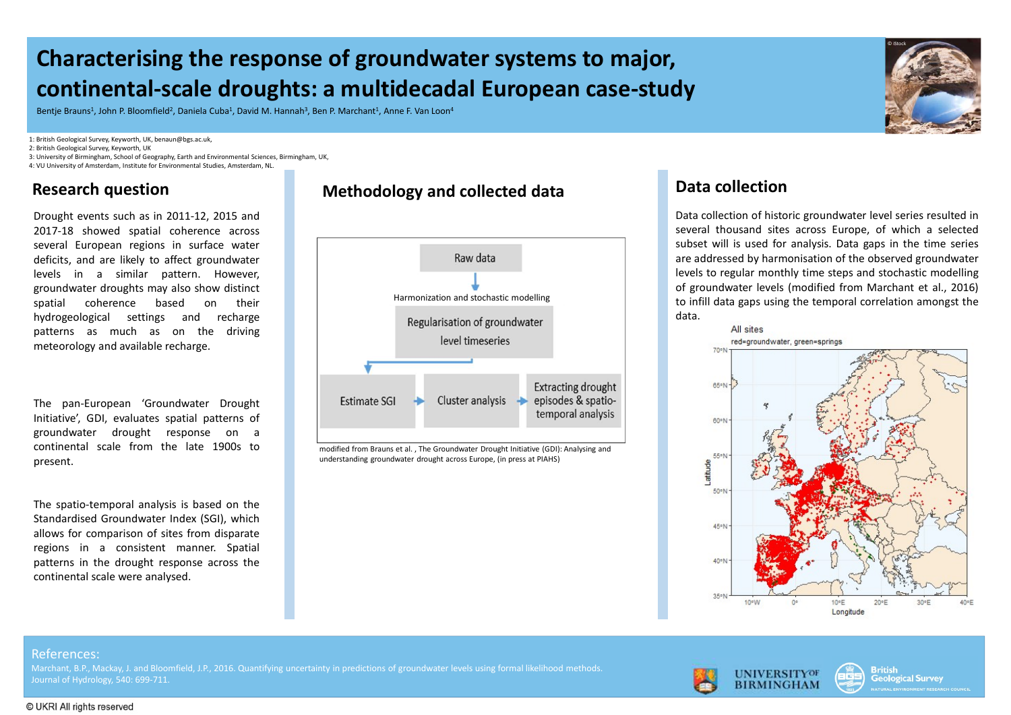# Characterising the response of groundwater systems to major, continental-scale droughts: a multidecadal European case-study **Characterising the response of groundwater systems to m**<br> **Continental-scale droughts: a multidecadal European case-**<br> **EROPIS ENDING EVALUATE SURFACE CONTRACT ASSEMBLY AND ASSEMBLY ARREL VAN LOON<sup>4</sup><br>
<b>EROPIS CROSURG MOVE Characterising the response of groundwater systems to m**<br> **Continental-scale droughts: a multidecadal European case**<br> **BROKE BRANK SUNG ANTANGE CONSERVERSE ARRELATE CONSERVERSE ARRELATE AMEL FUNDIOR"**<br> **BROKER CONSERVERSE**

Bentie Brauns<sup>1</sup>, John P. Bloomfield<sup>2</sup>, Daniela Cuba<sup>1</sup>, David M. Hannah<sup>3</sup>, Ben P. Marchant<sup>1</sup>, Anne F. Van Loon<sup>4</sup>

1: British Geological Survey, Keyworth, UK, benaun@bgs.ac.uk,

2: British Geological Survey, Keyworth, UK

3: University of Birmingham, School of Geography, Earth and Environmental Sciences, Birmingham, UK, 4: VU University of Amsterdam, Institute for Environmental Studies, Amsterdam, NL.

present.

## Research question Methodology and collected data



modified from Brauns et al. , The Groundwater Drought Initiative (GDI): Analysing and understanding groundwater drought across Europe, (in press at PIAHS)

## Data collection

**Data collection**<br>Data collection of historic groundwater level series resulted in<br>several thousand sites across Europe, of which a selected<br>subset will is used for analysis. Data gaps in the time series<br>are addressed by h **Several thousand sites across Europe, and Several thousand sites across Europe, of which a selected subset will is used for analysis. Data gaps in the time series are addressed by harmonisation of the observed groundwater Subset will be the time subset will is used for analysis. Data gaps in the time series resulted in several thousand sites across Europe, of which a selected are addressed by harmonisation of the observed groundwater level by**<br> **bata collection**<br> **Data collection**<br> **Data collection** of historic groundwater level series resulted in<br>
several thousand sites across Europe, of which a selected<br>
subset will is used for analysis. Data gaps in the **level to regular monthly the control of the control of the control of the control of the state steps and stochastic modelling**<br>steps and stochastic modelling states are addressed by harmonisation of the observed groundwat **Contained and Contained from Marchant Expansion**<br>
Data collection of historic groundwater level series resulted in<br>
several thousand sites across Europe, of which a selected<br>
subset will is used for analysis. Data gaps in to interest and the temporal correlation of the temporal control and several thousand sites across Europe, of which a selected subset will is used for analysis. Data gaps in the time series are addressed by harmonisation o data. Harmonization and stochastic modelling and the state of the infill data gaps using the temporal correlation amongst the

© iStock





## References:

Journal of Hydrology, 540: 699-711.

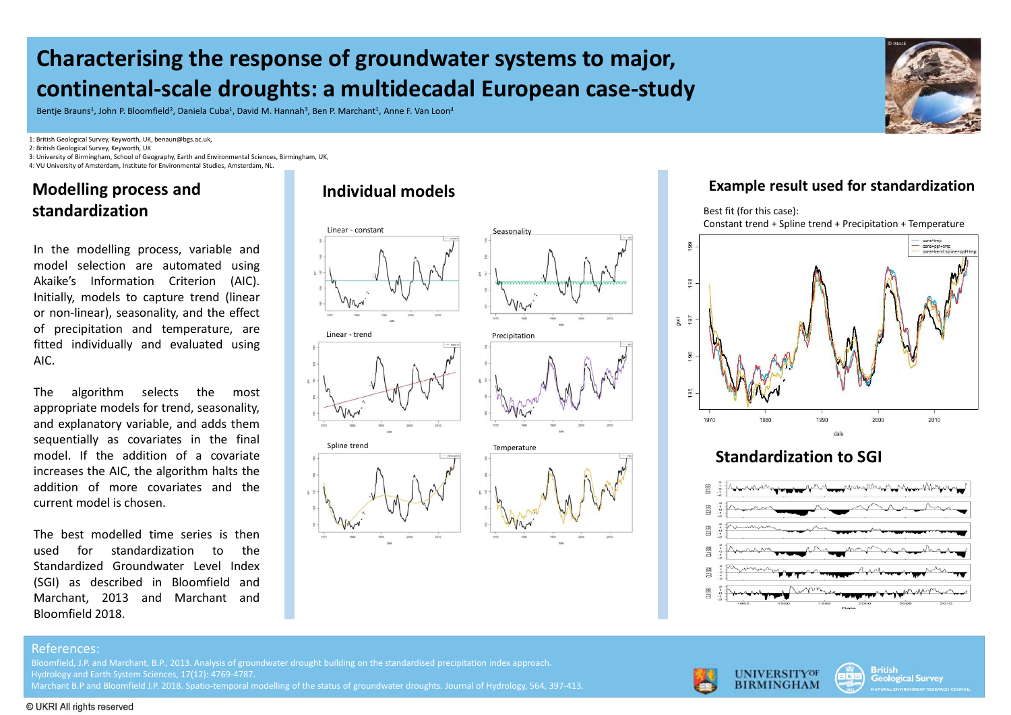# Characterising the response of groundwater systems to major, continental-scale droughts: a multidecadal European case-study

Bentie Brauns<sup>1</sup>, John P. Bloomfield<sup>2</sup>, Daniela Cuba<sup>1</sup>, David M. Hannah<sup>3</sup>, Ben P. Marchant<sup>1</sup>, Anne F. Van Loon<sup>4</sup>

1: British Geological Survey, Keyworth, UK, benaun@bgs.ac.uk,

2: British Geological Survey, Keyworth, UK

3: University of Birmingham, School of Geography, Earth and Environmental Sciences, Birmingham, UK, 4: VU University of Amsterdam, Institute for Environmental Studies, Amsterdam, NL.

## Modelling process and Individual models standardization

AIC.



## Example result used for standardization

© iStock



## Standardization to SGI



### References:

Bloomfield, J.P. and Marchant, B.P., 2013. Analysis of groundwater drought building on the standardised precipitation index approach. Hydrology and Earth System Sciences, 17(12): 4769-4787.

Marchant B.P and Bloomfield J.P. 2018. Spatio-temporal modelling of the status of groundwater droughts. Journal of Hydrology, 564, 397-413.